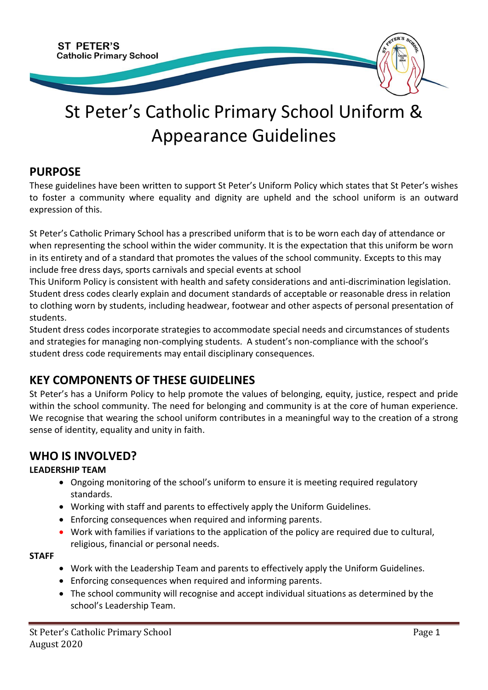

# St Peter's Catholic Primary School Uniform & Appearance Guidelines

## **PURPOSE**

These guidelines have been written to support St Peter's Uniform Policy which states that St Peter's wishes to foster a community where equality and dignity are upheld and the school uniform is an outward expression of this.

St Peter's Catholic Primary School has a prescribed uniform that is to be worn each day of attendance or when representing the school within the wider community. It is the expectation that this uniform be worn in its entirety and of a standard that promotes the values of the school community. Excepts to this may include free dress days, sports carnivals and special events at school

This Uniform Policy is consistent with health and safety considerations and anti-discrimination legislation. Student dress codes clearly explain and document standards of acceptable or reasonable dress in relation to clothing worn by students, including headwear, footwear and other aspects of personal presentation of students.

Student dress codes incorporate strategies to accommodate special needs and circumstances of students and strategies for managing non-complying students. A student's non-compliance with the school's student dress code requirements may entail disciplinary consequences.

# **KEY COMPONENTS OF THESE GUIDELINES**

St Peter's has a Uniform Policy to help promote the values of belonging, equity, justice, respect and pride within the school community. The need for belonging and community is at the core of human experience. We recognise that wearing the school uniform contributes in a meaningful way to the creation of a strong sense of identity, equality and unity in faith.

# **WHO IS INVOLVED?**

#### **LEADERSHIP TEAM**

- Ongoing monitoring of the school's uniform to ensure it is meeting required regulatory standards.
- Working with staff and parents to effectively apply the Uniform Guidelines.
- Enforcing consequences when required and informing parents.
- Work with families if variations to the application of the policy are required due to cultural, religious, financial or personal needs.

#### **STAFF**

- Work with the Leadership Team and parents to effectively apply the Uniform Guidelines.
- Enforcing consequences when required and informing parents.
- The school community will recognise and accept individual situations as determined by the school's Leadership Team.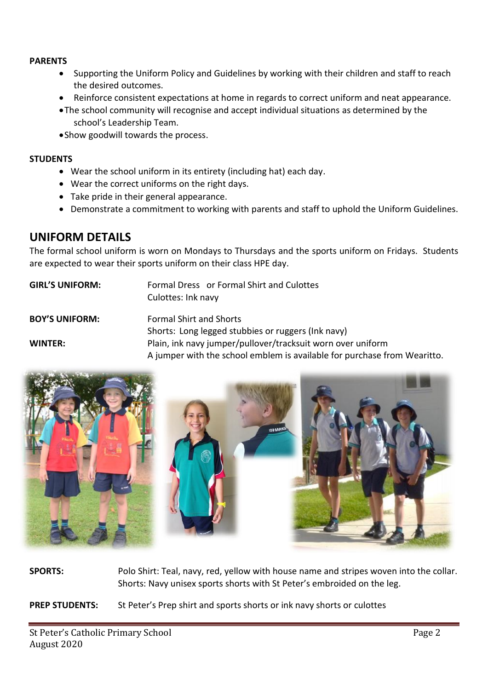#### **PARENTS**

- Supporting the Uniform Policy and Guidelines by working with their children and staff to reach the desired outcomes.
- Reinforce consistent expectations at home in regards to correct uniform and neat appearance.
- •The school community will recognise and accept individual situations as determined by the school's Leadership Team.
- •Show goodwill towards the process.

#### **STUDENTS**

- Wear the school uniform in its entirety (including hat) each day.
- Wear the correct uniforms on the right days.
- Take pride in their general appearance.
- Demonstrate a commitment to working with parents and staff to uphold the Uniform Guidelines.

#### **UNIFORM DETAILS**

The formal school uniform is worn on Mondays to Thursdays and the sports uniform on Fridays. Students are expected to wear their sports uniform on their class HPE day.

| <b>GIRL'S UNIFORM:</b> | Formal Dress or Formal Shirt and Culottes<br>Culottes: Ink navy                                                                         |
|------------------------|-----------------------------------------------------------------------------------------------------------------------------------------|
| <b>BOY'S UNIFORM:</b>  | <b>Formal Shirt and Shorts</b><br>Shorts: Long legged stubbies or ruggers (lnk navy)                                                    |
| WINTER:                | Plain, ink navy jumper/pullover/tracksuit worn over uniform<br>A jumper with the school emblem is available for purchase from Wearitto. |



**SPORTS:** Polo Shirt: Teal, navy, red, yellow with house name and stripes woven into the collar. Shorts: Navy unisex sports shorts with St Peter's embroided on the leg.

**PREP STUDENTS:** St Peter's Prep shirt and sports shorts or ink navy shorts or culottes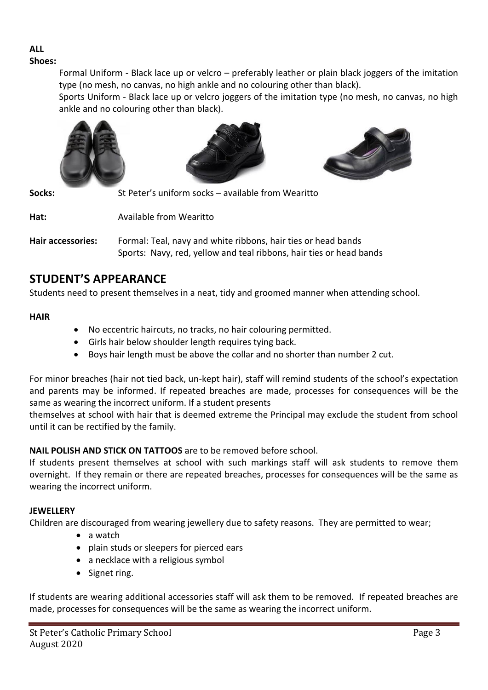# **ALL**

**Shoes:**

Formal Uniform - Black lace up or velcro – preferably leather or plain black joggers of the imitation type (no mesh, no canvas, no high ankle and no colouring other than black).

Sports Uniform - Black lace up or velcro joggers of the imitation type (no mesh, no canvas, no high ankle and no colouring other than black).







**Socks:** St Peter's uniform socks – available from Wearitto

**Hat:** Available from Wearitto

**Hair accessories:** Formal: Teal, navy and white ribbons, hair ties or head bands Sports: Navy, red, yellow and teal ribbons, hair ties or head bands

# **STUDENT'S APPEARANCE**

Students need to present themselves in a neat, tidy and groomed manner when attending school.

#### **HAIR**

- No eccentric haircuts, no tracks, no hair colouring permitted.
- Girls hair below shoulder length requires tying back.
- Boys hair length must be above the collar and no shorter than number 2 cut.

For minor breaches (hair not tied back, un-kept hair), staff will remind students of the school's expectation and parents may be informed. If repeated breaches are made, processes for consequences will be the same as wearing the incorrect uniform. If a student presents

themselves at school with hair that is deemed extreme the Principal may exclude the student from school until it can be rectified by the family.

#### **NAIL POLISH AND STICK ON TATTOOS** are to be removed before school.

If students present themselves at school with such markings staff will ask students to remove them overnight. If they remain or there are repeated breaches, processes for consequences will be the same as wearing the incorrect uniform.

#### **JEWELLERY**

Children are discouraged from wearing jewellery due to safety reasons. They are permitted to wear;

- a watch
- plain studs or sleepers for pierced ears
- a necklace with a religious symbol
- Signet ring.

If students are wearing additional accessories staff will ask them to be removed. If repeated breaches are made, processes for consequences will be the same as wearing the incorrect uniform.